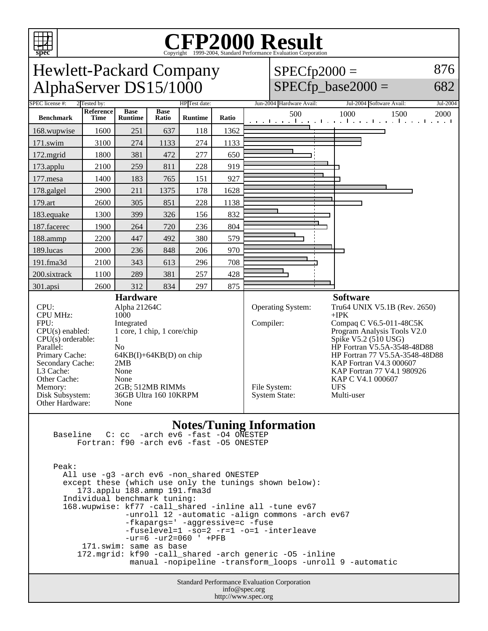

# Copyright ©1999-2004, Standard Performance Evaluation Corporation

| <b>Hewlett-Packard Company</b> |
|--------------------------------|
| AlphaServer DS15/1000          |

 $SPECfp2000 =$  $SPECfp\_base2000 =$ 876

682

| HP Test date:<br>SPEC license #:<br>2 Tested by:                                                                                                                                                                                                                                                                                                                                                                                                         |                          |                               |                      |                |                                                   | Jun-2004 Hardware Avail: | Jul-2004 Software Avail:<br>Jul-2004                                                                                                                                                                                                                                                                                    |                                                                       |  |
|----------------------------------------------------------------------------------------------------------------------------------------------------------------------------------------------------------------------------------------------------------------------------------------------------------------------------------------------------------------------------------------------------------------------------------------------------------|--------------------------|-------------------------------|----------------------|----------------|---------------------------------------------------|--------------------------|-------------------------------------------------------------------------------------------------------------------------------------------------------------------------------------------------------------------------------------------------------------------------------------------------------------------------|-----------------------------------------------------------------------|--|
| <b>Benchmark</b>                                                                                                                                                                                                                                                                                                                                                                                                                                         | Reference<br><b>Time</b> | <b>Base</b><br><b>Runtime</b> | <b>Base</b><br>Ratio | <b>Runtime</b> | Ratio                                             |                          | 500                                                                                                                                                                                                                                                                                                                     | 1000<br>1500<br>2000<br>المتواجب والمتواطن والمتواطن والمتواطن والمتو |  |
| 168.wupwise                                                                                                                                                                                                                                                                                                                                                                                                                                              | 1600                     | 251                           | 637                  | 118            | 1362                                              |                          |                                                                                                                                                                                                                                                                                                                         |                                                                       |  |
| 171.swim                                                                                                                                                                                                                                                                                                                                                                                                                                                 | 3100                     | 274                           | 1133                 | 274            | 1133                                              |                          |                                                                                                                                                                                                                                                                                                                         |                                                                       |  |
| 172.mgrid                                                                                                                                                                                                                                                                                                                                                                                                                                                | 1800                     | 381                           | 472                  | 277            | 650                                               |                          |                                                                                                                                                                                                                                                                                                                         |                                                                       |  |
| 173.applu                                                                                                                                                                                                                                                                                                                                                                                                                                                | 2100                     | 259                           | 811                  | 228            | 919                                               |                          |                                                                                                                                                                                                                                                                                                                         |                                                                       |  |
| 177.mesa                                                                                                                                                                                                                                                                                                                                                                                                                                                 | 1400                     | 183                           | 765                  | 151            | 927                                               |                          |                                                                                                                                                                                                                                                                                                                         |                                                                       |  |
| 178.galgel                                                                                                                                                                                                                                                                                                                                                                                                                                               | 2900                     | 211                           | 1375                 | 178            | 1628                                              |                          |                                                                                                                                                                                                                                                                                                                         |                                                                       |  |
| 179.art                                                                                                                                                                                                                                                                                                                                                                                                                                                  | 2600                     | 305                           | 851                  | 228            | 1138                                              |                          |                                                                                                                                                                                                                                                                                                                         |                                                                       |  |
| 183.equake                                                                                                                                                                                                                                                                                                                                                                                                                                               | 1300                     | 399                           | 326                  | 156            | 832                                               |                          |                                                                                                                                                                                                                                                                                                                         |                                                                       |  |
| 187.facerec                                                                                                                                                                                                                                                                                                                                                                                                                                              | 1900                     | 264                           | 720                  | 236            | 804                                               |                          |                                                                                                                                                                                                                                                                                                                         |                                                                       |  |
| 188.ammp                                                                                                                                                                                                                                                                                                                                                                                                                                                 | 2200                     | 447                           | 492                  | 380            | 579                                               |                          |                                                                                                                                                                                                                                                                                                                         |                                                                       |  |
| 189.lucas                                                                                                                                                                                                                                                                                                                                                                                                                                                | 2000                     | 236                           | 848                  | 206            | 970                                               |                          |                                                                                                                                                                                                                                                                                                                         |                                                                       |  |
| 191.fma3d                                                                                                                                                                                                                                                                                                                                                                                                                                                | 2100                     | 343                           | 613                  | 296            | 708                                               |                          |                                                                                                                                                                                                                                                                                                                         |                                                                       |  |
| 200.sixtrack                                                                                                                                                                                                                                                                                                                                                                                                                                             | 1100                     | 289                           | 381                  | 257            | 428                                               |                          |                                                                                                                                                                                                                                                                                                                         |                                                                       |  |
| 301.apsi                                                                                                                                                                                                                                                                                                                                                                                                                                                 | 2600                     | 312                           | 834                  | 297            | 875                                               |                          |                                                                                                                                                                                                                                                                                                                         |                                                                       |  |
| <b>Hardware</b><br>CPU:<br>Alpha 21264C<br><b>CPU MHz:</b><br>1000<br>FPU:<br>Integrated<br>1 core, 1 chip, 1 core/chip<br>$CPU(s)$ enabled:<br>$CPU(s)$ orderable:<br>$\mathbf{1}$<br>Parallel:<br>N <sub>0</sub><br>Primary Cache:<br>$64KB(I) + 64KB(D)$ on chip<br>Secondary Cache:<br>2MB<br>L3 Cache:<br>None<br>Other Cache:<br>None<br>2GB; 512MB RIMMs<br>Memory:<br>Disk Subsystem:<br>36GB Ultra 160 10KRPM<br><b>Other Hardware:</b><br>None |                          |                               |                      |                | Compiler:<br>File System:<br><b>System State:</b> | Operating System:        | <b>Software</b><br>Tru64 UNIX V5.1B (Rev. 2650)<br>$+$ IPK<br>Compaq C V6.5-011-48C5K<br>Program Analysis Tools V2.0<br>Spike V5.2 (510 USG)<br>HP Fortran V5.5A-3548-48D88<br>HP Fortran 77 V5.5A-3548-48D88<br>KAP Fortran V4.3 000607<br>KAP Fortran 77 V4.1 980926<br>KAP C V4.1 000607<br><b>UFS</b><br>Multi-user |                                                                       |  |
| <b>Notes/Tuning Information</b><br>-arch ev6 -fast -04 ONESTEP<br>Baseline<br>$C:$ $CC$<br>Fortran: f90 -arch ev6 -fast -05 ONESTEP<br>Peak:<br>All use -g3 -arch ev6 -non_shared ONESTEP<br>except these (which use only the tunings shown below):<br>173.applu 188.ammp 191.fma3d<br>Individual benchmark tuning:<br>$\mathbf{r}$ , and the set of $\mathbf{r}$                                                                                        |                          |                               |                      |                |                                                   |                          |                                                                                                                                                                                                                                                                                                                         |                                                                       |  |

 168.wupwise: kf77 -call\_shared -inline all -tune ev67 -unroll 12 -automatic -align commons -arch ev67 -fkapargs=' -aggressive=c -fuse -fuselevel=1 -so=2 -r=1 -o=1 -interleave -ur=6 -ur2=060 ' +PFB 171.swim: same as base 172.mgrid: kf90 -call\_shared -arch generic -O5 -inline manual -nopipeline -transform\_loops -unroll 9 -automatic

> Standard Performance Evaluation Corporation info@spec.org http://www.spec.org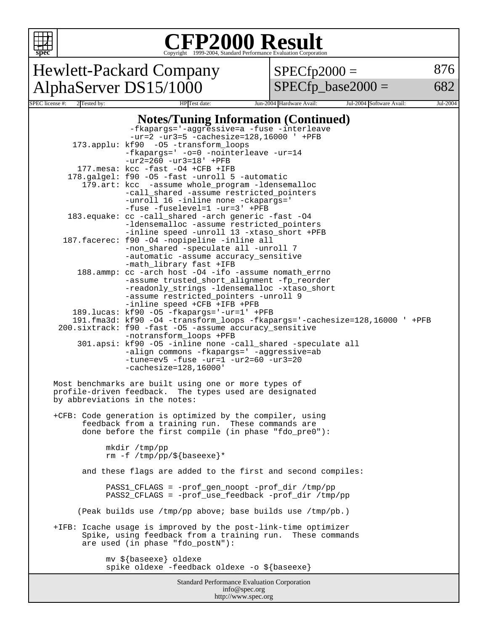

## Copyright ©1999-2004, Standard Performance Evaluation Corporation

Hewlett-Packard Company AlphaServer DS15/1000 SPEC license #: 2 Tested by: HP Test date: Jun-2004 Hardware Avail: Jul-2004 Software Avail: Jul-2004

 $SPECfp2000 =$ 

 $SPECfp\_base2000 =$ 

876

682

#### **Notes/Tuning Information (Continued)** -fkapargs='-aggressive=a -fuse -interleave -ur=2 -ur3=5 -cachesize=128,16000 ' +PFB 173.applu: kf90 -O5 -transform\_loops

|                                                             | -fkapargs=' -o=0 -nointerleave -ur=14<br>$-ur2 = 260 -ur3 = 18' + PFB$                                                    |  |  |  |  |  |
|-------------------------------------------------------------|---------------------------------------------------------------------------------------------------------------------------|--|--|--|--|--|
|                                                             | 177. mesa: kcc -fast -04 +CFB +IFB                                                                                        |  |  |  |  |  |
|                                                             | 178.galgel: f90 -05 -fast -unroll 5 -automatic                                                                            |  |  |  |  |  |
|                                                             | 179.art: kcc -assume whole_program -ldensemalloc                                                                          |  |  |  |  |  |
|                                                             | -call_shared -assume restricted_pointers                                                                                  |  |  |  |  |  |
|                                                             | -unroll 16 -inline none -ckapargs='                                                                                       |  |  |  |  |  |
|                                                             | -fuse -fuselevel=1 -ur=3' +PFB                                                                                            |  |  |  |  |  |
|                                                             | 183. equake: cc -call_shared -arch generic -fast -04                                                                      |  |  |  |  |  |
|                                                             | -ldensemalloc -assume restricted pointers<br>-inline speed -unroll 13 -xtaso_short +PFB                                   |  |  |  |  |  |
|                                                             | 187. facerec: f90 -04 -nopipeline -inline all                                                                             |  |  |  |  |  |
|                                                             | -non_shared -speculate all -unroll 7                                                                                      |  |  |  |  |  |
|                                                             | -automatic -assume accuracy sensitive                                                                                     |  |  |  |  |  |
|                                                             | -math_library fast +IFB                                                                                                   |  |  |  |  |  |
|                                                             | 188.ammp: cc -arch host -04 -ifo -assume nomath_errno                                                                     |  |  |  |  |  |
|                                                             | -assume trusted_short_alignment -fp_reorder                                                                               |  |  |  |  |  |
|                                                             | -readonly_strings -ldensemalloc -xtaso_short                                                                              |  |  |  |  |  |
|                                                             | -assume restricted_pointers -unroll 9                                                                                     |  |  |  |  |  |
|                                                             | -inline speed +CFB +IFB +PFB                                                                                              |  |  |  |  |  |
|                                                             | 189.1ucas: kf90 -05 -fkapargs='-ur=1' +PFB<br>191.fma3d: kf90 -04 -transform_loops -fkapargs='-cachesize=128,16000 ' +PFB |  |  |  |  |  |
|                                                             | 200.sixtrack: f90 -fast -05 -assume accuracy sensitive                                                                    |  |  |  |  |  |
|                                                             | -notransform_loops +PFB                                                                                                   |  |  |  |  |  |
|                                                             | 301.apsi: kf90 -05 -inline none -call_shared -speculate all                                                               |  |  |  |  |  |
|                                                             | -align commons -fkapargs=' -aggressive=ab                                                                                 |  |  |  |  |  |
|                                                             | $-tune=ev5 - fuse -ur=1 -ur2=60 -ur3=20$                                                                                  |  |  |  |  |  |
|                                                             | $-cachesize=128,16000'$                                                                                                   |  |  |  |  |  |
|                                                             |                                                                                                                           |  |  |  |  |  |
|                                                             | Most benchmarks are built using one or more types of<br>profile-driven feedback. The types used are designated            |  |  |  |  |  |
|                                                             | by abbreviations in the notes:                                                                                            |  |  |  |  |  |
|                                                             |                                                                                                                           |  |  |  |  |  |
|                                                             | +CFB: Code generation is optimized by the compiler, using                                                                 |  |  |  |  |  |
| feedback from a training run. These commands are            |                                                                                                                           |  |  |  |  |  |
|                                                             | done before the first compile (in phase "fdo_pre0"):                                                                      |  |  |  |  |  |
|                                                             |                                                                                                                           |  |  |  |  |  |
|                                                             | mkdir /tmp/pp                                                                                                             |  |  |  |  |  |
|                                                             | rm -f /tmp/pp/\${baseexe}*                                                                                                |  |  |  |  |  |
| and these flags are added to the first and second compiles: |                                                                                                                           |  |  |  |  |  |
|                                                             |                                                                                                                           |  |  |  |  |  |
|                                                             | PASS1_CFLAGS = -prof_gen_noopt -prof_dir /tmp/pp                                                                          |  |  |  |  |  |
|                                                             | PASS2_CFLAGS = -prof_use_feedback -prof_dir /tmp/pp                                                                       |  |  |  |  |  |
|                                                             |                                                                                                                           |  |  |  |  |  |
|                                                             | (Peak builds use /tmp/pp above; base builds use /tmp/pb.)                                                                 |  |  |  |  |  |
|                                                             | +IFB: Icache usage is improved by the post-link-time optimizer                                                            |  |  |  |  |  |
|                                                             | Spike, using feedback from a training run.<br>These commands                                                              |  |  |  |  |  |
|                                                             | are used (in phase "fdo_postN"):                                                                                          |  |  |  |  |  |
|                                                             |                                                                                                                           |  |  |  |  |  |
|                                                             | mv \${baseexe} oldexe                                                                                                     |  |  |  |  |  |
|                                                             | spike oldexe -feedback oldexe -o \${baseexe}                                                                              |  |  |  |  |  |
| <b>Standard Performance Evaluation Corporation</b>          |                                                                                                                           |  |  |  |  |  |

info@spec.org http://www.spec.org